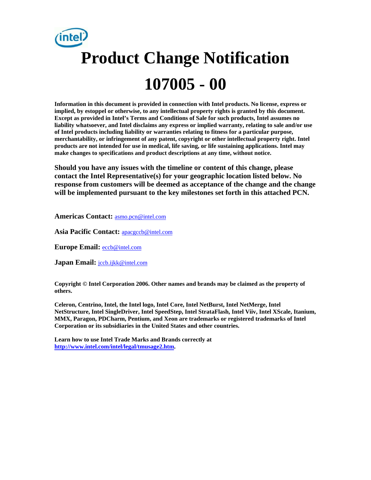# **Product Change Notification 107005 - 00**

**Information in this document is provided in connection with Intel products. No license, express or implied, by estoppel or otherwise, to any intellectual property rights is granted by this document. Except as provided in Intel's Terms and Conditions of Sale for such products, Intel assumes no liability whatsoever, and Intel disclaims any express or implied warranty, relating to sale and/or use of Intel products including liability or warranties relating to fitness for a particular purpose, merchantability, or infringement of any patent, copyright or other intellectual property right. Intel products are not intended for use in medical, life saving, or life sustaining applications. Intel may make changes to specifications and product descriptions at any time, without notice.** 

**Should you have any issues with the timeline or content of this change, please contact the Intel Representative(s) for your geographic location listed below. No response from customers will be deemed as acceptance of the change and the change will be implemented pursuant to the key milestones set forth in this attached PCN.** 

**Americas Contact:** asmo.pcn@intel.com

**Asia Pacific Contact:** apacgccb@intel.com

**Europe Email:** eccb@intel.com

Japan Email: **jccb.ijkk@intel.com** 

**Copyright © Intel Corporation 2006. Other names and brands may be claimed as the property of others.**

**Celeron, Centrino, Intel, the Intel logo, Intel Core, Intel NetBurst, Intel NetMerge, Intel NetStructure, Intel SingleDriver, Intel SpeedStep, Intel StrataFlash, Intel Viiv, Intel XScale, Itanium, MMX, Paragon, PDCharm, Pentium, and Xeon are trademarks or registered trademarks of Intel Corporation or its subsidiaries in the United States and other countries.** 

**Learn how to use Intel Trade Marks and Brands correctly at http://www.intel.com/intel/legal/tmusage2.htm.**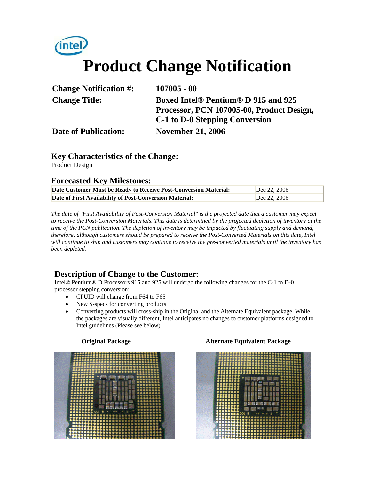## *(intel)* **Product Change Notification**

| <b>Change Notification #:</b> | $107005 - 00$                             |
|-------------------------------|-------------------------------------------|
| <b>Change Title:</b>          | Boxed Intel® Pentium® D 915 and 925       |
|                               | Processor, PCN 107005-00, Product Design, |
|                               | C-1 to D-0 Stepping Conversion            |
| <b>Date of Publication:</b>   | <b>November 21, 2006</b>                  |

### **Key Characteristics of the Change:**

Product Design

#### **Forecasted Key Milestones:**

| Date Customer Must be Ready to Receive Post-Conversion Material: | Dec 22, 2006 |
|------------------------------------------------------------------|--------------|
| Date of First Availability of Post-Conversion Material:          | Dec 22, 2006 |

*The date of "First Availability of Post-Conversion Material" is the projected date that a customer may expect to receive the Post-Conversion Materials. This date is determined by the projected depletion of inventory at the time of the PCN publication. The depletion of inventory may be impacted by fluctuating supply and demand, therefore, although customers should be prepared to receive the Post-Converted Materials on this date, Intel will continue to ship and customers may continue to receive the pre-converted materials until the inventory has been depleted.*

#### **Description of Change to the Customer:**

Intel® Pentium® D Processors 915 and 925 will undergo the following changes for the C-1 to D-0 processor stepping conversion:

- CPUID will change from F64 to F65
- New S-specs for converting products
- Converting products will cross-ship in the Original and the Alternate Equivalent package. While the packages are visually different, Intel anticipates no changes to customer platforms designed to Intel guidelines (Please see below)



#### **Original Package Alternate Equivalent Package**